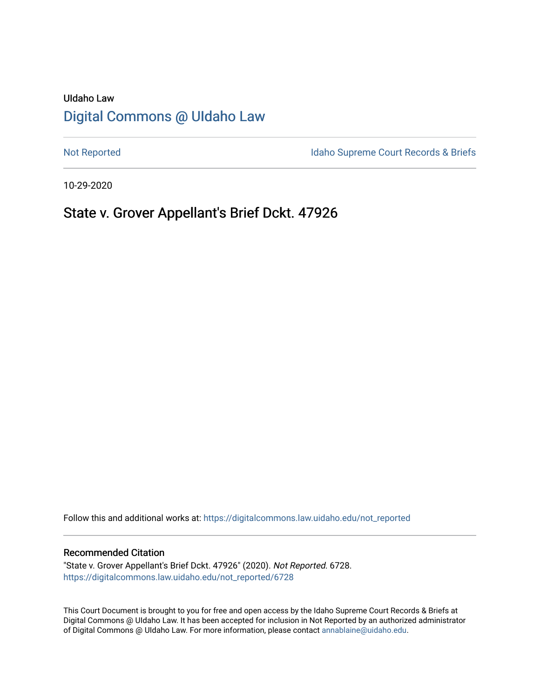# UIdaho Law [Digital Commons @ UIdaho Law](https://digitalcommons.law.uidaho.edu/)

[Not Reported](https://digitalcommons.law.uidaho.edu/not_reported) **Idaho Supreme Court Records & Briefs** 

10-29-2020

# State v. Grover Appellant's Brief Dckt. 47926

Follow this and additional works at: [https://digitalcommons.law.uidaho.edu/not\\_reported](https://digitalcommons.law.uidaho.edu/not_reported?utm_source=digitalcommons.law.uidaho.edu%2Fnot_reported%2F6728&utm_medium=PDF&utm_campaign=PDFCoverPages) 

### Recommended Citation

"State v. Grover Appellant's Brief Dckt. 47926" (2020). Not Reported. 6728. [https://digitalcommons.law.uidaho.edu/not\\_reported/6728](https://digitalcommons.law.uidaho.edu/not_reported/6728?utm_source=digitalcommons.law.uidaho.edu%2Fnot_reported%2F6728&utm_medium=PDF&utm_campaign=PDFCoverPages)

This Court Document is brought to you for free and open access by the Idaho Supreme Court Records & Briefs at Digital Commons @ UIdaho Law. It has been accepted for inclusion in Not Reported by an authorized administrator of Digital Commons @ UIdaho Law. For more information, please contact [annablaine@uidaho.edu](mailto:annablaine@uidaho.edu).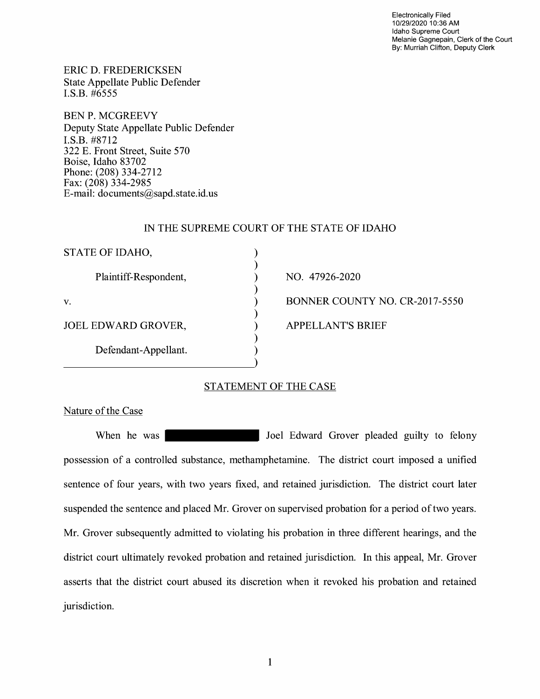Electronically Filed 10/29/2020 10:36 AM Idaho Supreme Court Melanie Gagnepain, Clerk of the Court By: Murriah Clifton, Deputy Clerk

ERIC D. FREDERICKSEN State Appellate Public Defender I.S.B. #6555

BEN P. MCGREEVY Deputy State Appellate Public Defender I.S.B. #8712 322 E. Front Street, Suite 570 Boise, Idaho 83702 Phone: (208) 334-2712 Fax: (208) 334-2985 E-mail: documents@sapd.state.id. us

### IN THE SUPREME COURT OF THE STATE OF IDAHO

| STATE OF IDAHO,            |                                |
|----------------------------|--------------------------------|
| Plaintiff-Respondent,      | NO. 47926-2020                 |
| V.                         | BONNER COUNTY NO. CR-2017-5550 |
| <b>JOEL EDWARD GROVER,</b> | <b>APPELLANT'S BRIEF</b>       |
| Defendant-Appellant.       |                                |

## STATEMENT OF THE CASE

 $\lambda$ 

Nature of the Case

When he was vertex of the Joel Edward Grover pleaded guilty to felony possession of a controlled substance, methamphetamine. The district court imposed a unified sentence of four years, with two years fixed, and retained jurisdiction. The district court later suspended the sentence and placed Mr. Grover on supervised probation for a period of two years. Mr. Grover subsequently admitted to violating his probation in three different hearings, and the district court ultimately revoked probation and retained jurisdiction. In this appeal, Mr. Grover asserts that the district court abused its discretion when it revoked his probation and retained jurisdiction.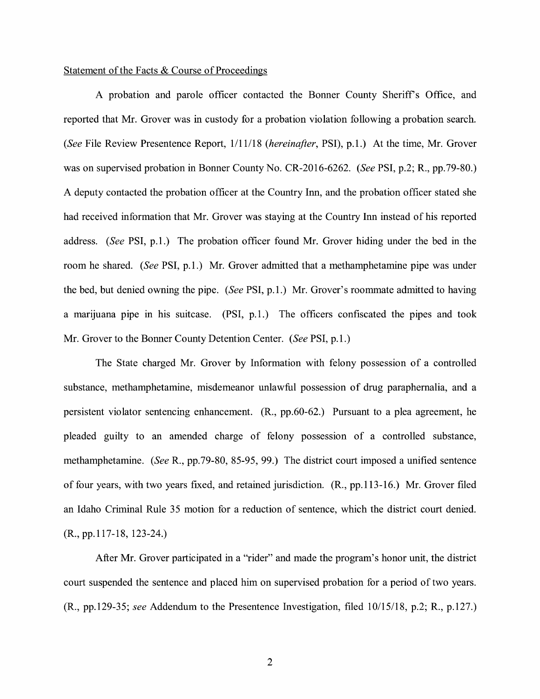# Statement of the Facts & Course of Proceedings

A probation and parole officer contacted the Bonner County Sheriffs Office, and reported that Mr. Grover was in custody for a probation violation following a probation search. *(See* File Review Presentence Report, 1/11/18 *(hereinafter,* PSI), p.1.) At the time, Mr. Grover was on supervised probation in Bonner County No. CR-2016-6262. *(See* PSI, p.2; R., pp.79-80.) A deputy contacted the probation officer at the Country Inn, and the probation officer stated she had received information that Mr. Grover was staying at the Country Inn instead of his reported address. *(See* PSI, p.1.) The probation officer found Mr. Grover hiding under the bed in the room he shared. *(See* PSI, p.1.) Mr. Grover admitted that a methamphetamine pipe was under the bed, but denied owning the pipe. *(See* PSI, p.1.) Mr. Grover's roommate admitted to having a marijuana pipe in his suitcase. (PSI, p.1.) The officers confiscated the pipes and took Mr. Grover to the Bonner County Detention Center. *(See* PSI, p.1.)

The State charged Mr. Grover by Information with felony possession of a controlled substance, methamphetamine, misdemeanor unlawful possession of drug paraphernalia, and a persistent violator sentencing enhancement. (R., pp.60-62.) Pursuant to a plea agreement, he pleaded guilty to an amended charge of felony possession of a controlled substance, methamphetamine. *(See* R., pp.79-80, 85-95, 99.) The district court imposed a unified sentence of four years, with two years fixed, and retained jurisdiction. (R., pp.113-16.) Mr. Grover filed an Idaho Criminal Rule 35 motion for a reduction of sentence, which the district court denied. (R., pp.117-18, 123-24.)

After Mr. Grover participated in a "rider" and made the program's honor unit, the district court suspended the sentence and placed him on supervised probation for a period of two years. (R., pp.129-35; *see* Addendum to the Presentence Investigation, filed 10/15/18, p.2; R., p.127.)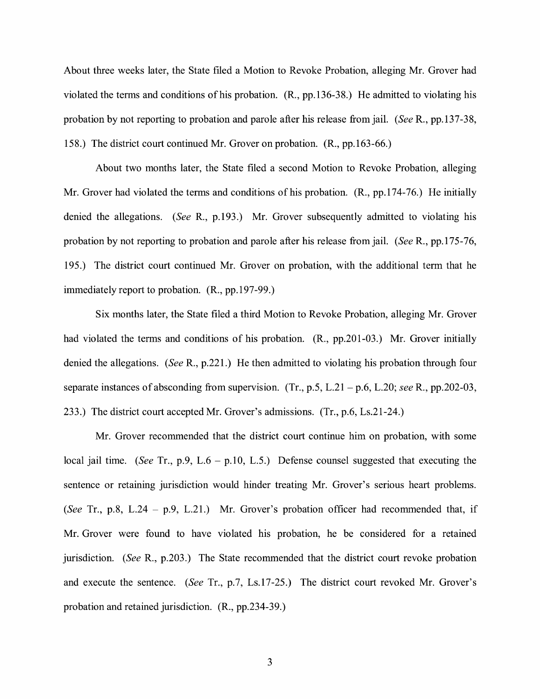About three weeks later, the State filed a Motion to Revoke Probation, alleging Mr. Grover had violated the terms and conditions of his probation. (R., pp.136-38.) He admitted to violating his probation by not reporting to probation and parole after his release from jail. *(See* R., pp.137-38, 158.) The district court continued Mr. Grover on probation. **(R.,** pp.163-66.)

About two months later, the State filed a second Motion to Revoke Probation, alleging Mr. Grover had violated the terms and conditions of his probation. **(R.,** pp.174-76.) He initially denied the allegations. *(See* R., p.193.) Mr. Grover subsequently admitted to violating his probation by not reporting to probation and parole after his release from jail. *(See* R., pp.175-76, 195.) The district court continued Mr. Grover on probation, with the additional term that he immediately report to probation. (R., pp.197-99.)

Six months later, the State filed a third Motion to Revoke Probation, alleging Mr. Grover had violated the terms and conditions of his probation. (R., pp.201-03.) Mr. Grover initially denied the allegations. *(See* R., p.221.) He then admitted to violating his probation through four separate instances of absconding from supervision. (Tr., p.5, L.21 - p.6, L.20; *see* R., pp.202-03, 233.) The district court accepted Mr. Grover's admissions. (Tr., p.6, Ls.21-24.)

Mr. Grover recommended that the district court continue him on probation, with some local jail time. *(See* Tr., p.9, L.6 - p.10, L.5.) Defense counsel suggested that executing the sentence or retaining jurisdiction would hinder treating Mr. Grover's serious heart problems. *(See* Tr., p.8, L.24 - p.9, L.21.) Mr. Grover's probation officer had recommended that, if Mr. Grover were found to have violated his probation, he be considered for a retained jurisdiction. *(See* R., p.203.) The State recommended that the district court revoke probation and execute the sentence. *(See* Tr., p.7, Ls.17-25.) The district court revoked Mr. Grover's probation and retained jurisdiction. (R., pp.234-39.)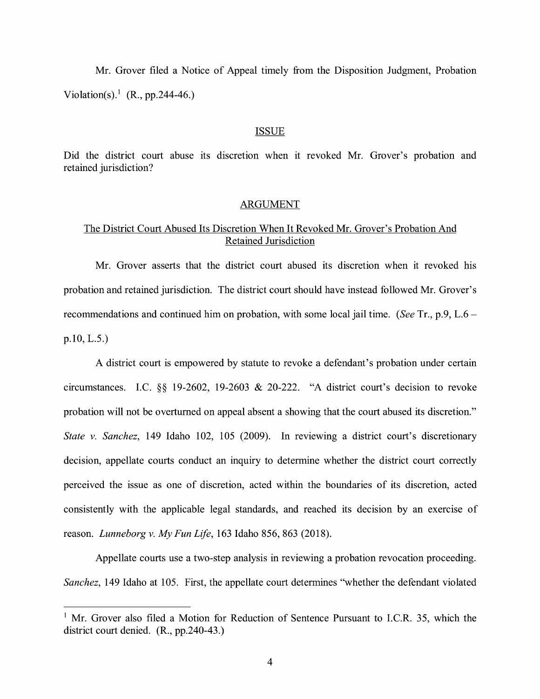Mr. Grover filed a Notice of Appeal timely from the Disposition Judgment, Probation Violation(s).<sup>1</sup> (R., pp.244-46.)

#### **ISSUE**

Did the district court abuse its discretion when it revoked Mr. Grover's probation and retained jurisdiction?

## ARGUMENT

## The District Court Abused Its Discretion When It Revoked Mr. Grover's Probation And Retained Jurisdiction

Mr. Grover asserts that the district court abused its discretion when it revoked his probation and retained jurisdiction. The district court should have instead followed Mr. Grover's recommendations and continued him on probation, with some local jail time. *(See* Tr., p.9, L.6 p.10, L.5.)

A district court is empowered by statute to revoke a defendant's probation under certain circumstances. LC. §§ 19-2602, 19-2603 & 20-222. "A district court's decision to revoke probation will not be overturned on appeal absent a showing that the court abused its discretion." *State v. Sanchez,* 149 Idaho 102, 105 (2009). In reviewing a district court's discretionary decision, appellate courts conduct an inquiry to determine whether the district court correctly perceived the issue as one of discretion, acted within the boundaries of its discretion, acted consistently with the applicable legal standards, and reached its decision by an exercise of reason. *Lunneborg v. My Fun Life,* 163 Idaho 856, 863 (2018).

Appellate courts use a two-step analysis in reviewing a probation revocation proceeding. *Sanchez,* 149 Idaho at 105. First, the appellate court determines "whether the defendant violated

 $1$  Mr. Grover also filed a Motion for Reduction of Sentence Pursuant to I.C.R. 35, which the district court denied. (R., pp.240-43.)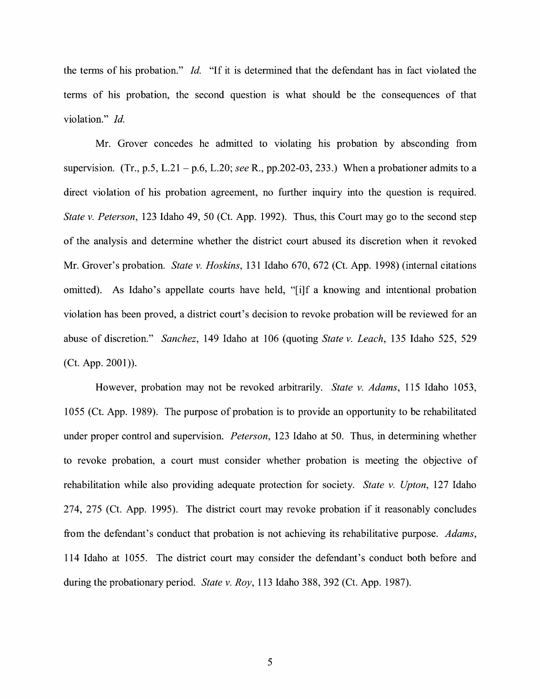the terms of his probation." *Id.* "If it is determined that the defendant has in fact violated the terms of his probation, the second question is what should be the consequences of that violation." *Id.* 

Mr. Grover concedes he admitted to violating his probation by absconding from supervision. (Tr., p.5, L.21 - p.6, L.20; *see* R., pp.202-03, 233.) When a probationer admits to a direct violation of his probation agreement, no further inquiry into the question is required. *State v. Peterson,* 123 Idaho 49, 50 (Ct. App. 1992). Thus, this Court may go to the second step of the analysis and determine whether the district court abused its discretion when it revoked Mr. Grover's probation. *State v. Hoskins,* 131 Idaho 670, 672 (Ct. App. 1998) (internal citations omitted). As Idaho's appellate courts have held, "[i]f a knowing and intentional probation violation has been proved, a district court's decision to revoke probation will be reviewed for an abuse of discretion." *Sanchez,* 149 Idaho at 106 (quoting *State v. Leach,* 135 Idaho 525, 529 (Ct. App. 2001)).

However, probation may not be revoked arbitrarily. *State v. Adams,* 115 Idaho 1053, 1055 (Ct. App. 1989). The purpose of probation is to provide an opportunity to be rehabilitated under proper control and supervision. *Peterson,* 123 Idaho at 50. Thus, in determining whether to revoke probation, a court must consider whether probation is meeting the objective of rehabilitation while also providing adequate protection for society. *State v. Upton,* 127 Idaho 274, 275 (Ct. App. 1995). The district court may revoke probation if it reasonably concludes from the defendant's conduct that probation is not achieving its rehabilitative purpose. *Adams,*  114 Idaho at 1055. The district court may consider the defendant's conduct both before and during the probationary period. *State v. Roy,* 113 Idaho 388, 392 (Ct. App. 1987).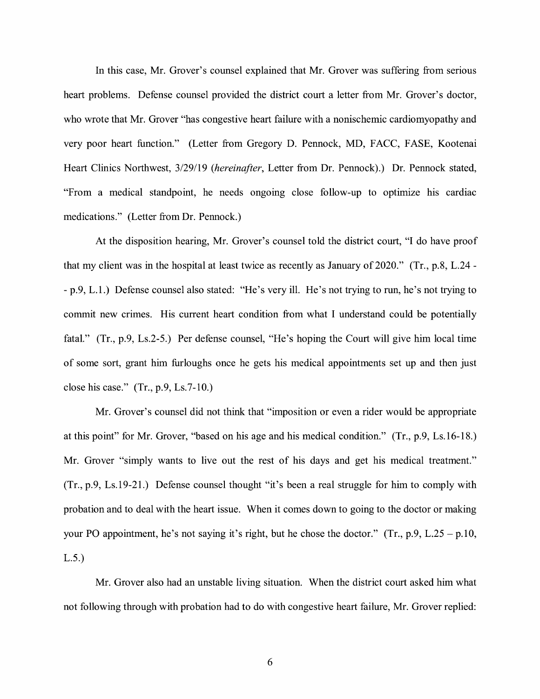In this case, Mr. Grover's counsel explained that Mr. Grover was suffering from serious heart problems. Defense counsel provided the district court a letter from Mr. Grover's doctor, who wrote that Mr. Grover "has congestive heart failure with a nonischemic cardiomyopathy and very poor heart function." (Letter from Gregory D. Pennock, MD, FACC, FASE, Kootenai Heart Clinics Northwest, 3/29/19 *(hereinafter,* Letter from Dr. Pennock).) Dr. Pennock stated, "From a medical standpoint, he needs ongoing close follow-up to optimize his cardiac medications." (Letter from Dr. Pennock.)

At the disposition hearing, Mr. Grover's counsel told the district court, "I do have proof that my client was in the hospital at least twice as recently as January of 2020." (Tr., p.8, L.24 - - p.9, L.1.) Defense counsel also stated: "He's very ill. He's not trying to run, he's not trying to commit new crimes. His current heart condition from what I understand could be potentially fatal." (Tr., p.9, Ls.2-5.) Per defense counsel, "He's hoping the Court will give him local time of some sort, grant him furloughs once he gets his medical appointments set up and then just close his case." (Tr., p.9, Ls.7-10.)

Mr. Grover's counsel did not think that "imposition or even a rider would be appropriate at this point" for Mr. Grover, "based on his age and his medical condition." (Tr., p.9, Ls.16-18.) Mr. Grover "simply wants to live out the rest of his days and get his medical treatment." (Tr., p.9, Ls.19-21.) Defense counsel thought "it's been a real struggle for him to comply with probation and to deal with the heart issue. When it comes down to going to the doctor or making your PO appointment, he's not saying it's right, but he chose the doctor." (Tr., p.9, L.25 – p.10, L.5.)

Mr. Grover also had an unstable living situation. When the district court asked him what not following through with probation had to do with congestive heart failure, Mr. Grover replied: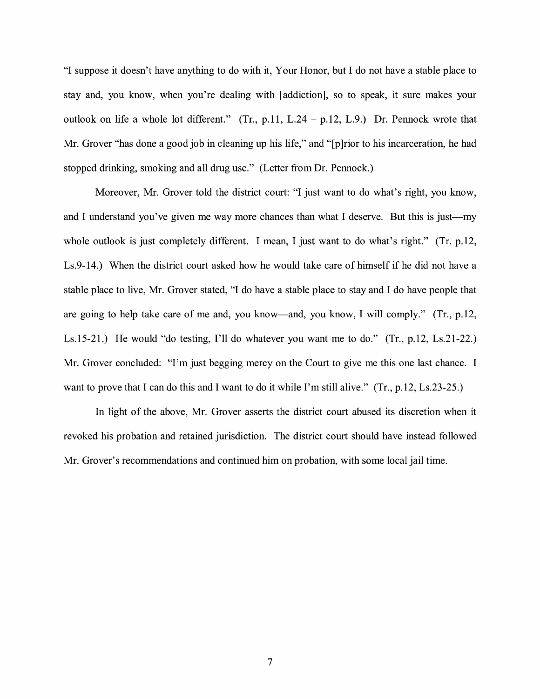"I suppose it doesn't have anything to do with it, Your Honor, but I do not have a stable place to stay and, you know, when you're dealing with [addiction], so to speak, it sure makes your outlook on life a whole lot different." (Tr., p.11, L.24 - p.12, L.9.) Dr. Pennock wrote that Mr. Grover "has done a good job in cleaning up his life," and "[p] rior to his incarceration, he had stopped drinking, smoking and all drug use." (Letter from Dr. Pennock.)

Moreover, Mr. Grover told the district court: "I just want to do what's right, you know, and I understand you've given me way more chances than what I deserve. But this is just--whole outlook is just completely different. I mean, I just want to do what's right." (Tr. p.12, Ls.9-14.) When the district court asked how he would take care of himself if he did not have a stable place to live, Mr. Grover stated, "I do have a stable place to stay and I do have people that are going to help take care of me and, you know-and, you know, I will comply." (Tr., p.12, Ls.15-21.) He would "do testing, I'll do whatever you want me to do." (Tr., p.12, Ls.21-22.) Mr. Grover concluded: "I'm just begging mercy on the Court to give me this one last chance. I want to prove that I can do this and I want to do it while I'm still alive." (Tr., p.12, Ls.23-25.)

In light of the above, Mr. Grover asserts the district court abused its discretion when it revoked his probation and retained jurisdiction. The district court should have instead followed Mr. Grover's recommendations and continued him on probation, with some local jail time.